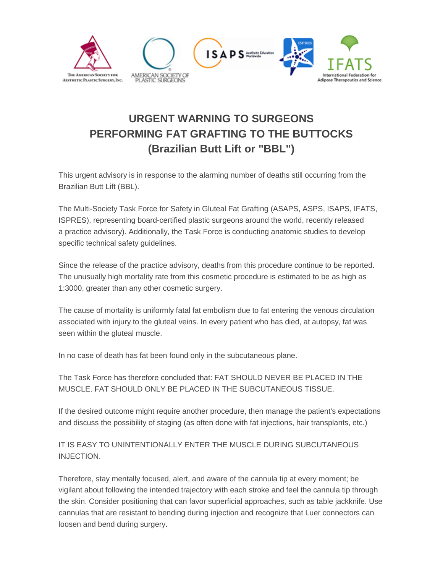

## **URGENT WARNING TO SURGEONS PERFORMING FAT GRAFTING TO THE BUTTOCKS (Brazilian Butt Lift or "BBL")**

This urgent advisory is in response to the alarming number of deaths still occurring from the Brazilian Butt Lift (BBL).

The Multi-Society Task Force for Safety in Gluteal Fat Grafting (ASAPS, ASPS, ISAPS, IFATS, ISPRES), representing board-certified plastic surgeons around the world, recently released a practice advisory). Additionally, the Task Force is conducting anatomic studies to develop specific technical safety guidelines.

Since the release of the practice advisory, deaths from this procedure continue to be reported. The unusually high mortality rate from this cosmetic procedure is estimated to be as high as 1:3000, greater than any other cosmetic surgery.

The cause of mortality is uniformly fatal fat embolism due to fat entering the venous circulation associated with injury to the gluteal veins. In every patient who has died, at autopsy, fat was seen within the gluteal muscle.

In no case of death has fat been found only in the subcutaneous plane.

The Task Force has therefore concluded that: FAT SHOULD NEVER BE PLACED IN THE MUSCLE. FAT SHOULD ONLY BE PLACED IN THE SUBCUTANEOUS TISSUE.

If the desired outcome might require another procedure, then manage the patient's expectations and discuss the possibility of staging (as often done with fat injections, hair transplants, etc.)

## IT IS EASY TO UNINTENTIONALLY ENTER THE MUSCLE DURING SUBCUTANEOUS INJECTION.

Therefore, stay mentally focused, alert, and aware of the cannula tip at every moment; be vigilant about following the intended trajectory with each stroke and feel the cannula tip through the skin. Consider positioning that can favor superficial approaches, such as table jackknife. Use cannulas that are resistant to bending during injection and recognize that Luer connectors can loosen and bend during surgery.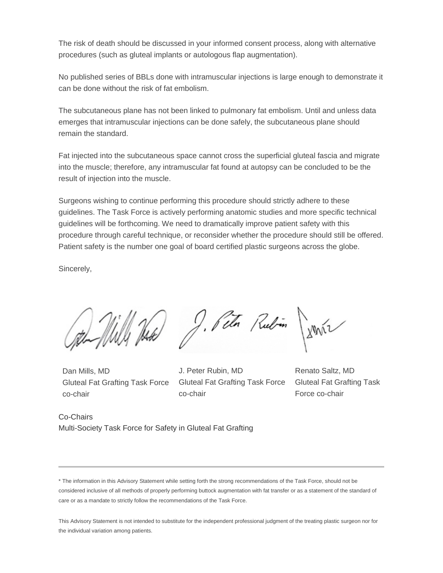The risk of death should be discussed in your informed consent process, along with alternative procedures (such as gluteal implants or autologous flap augmentation).

No published series of BBLs done with intramuscular injections is large enough to demonstrate it can be done without the risk of fat embolism.

The subcutaneous plane has not been linked to pulmonary fat embolism. Until and unless data emerges that intramuscular injections can be done safely, the subcutaneous plane should remain the standard.

Fat injected into the subcutaneous space cannot cross the superficial gluteal fascia and migrate into the muscle; therefore, any intramuscular fat found at autopsy can be concluded to be the result of injection into the muscle.

Surgeons wishing to continue performing this procedure should strictly adhere to these guidelines. The Task Force is actively performing anatomic studies and more specific technical guidelines will be forthcoming. We need to dramatically improve patient safety with this procedure through careful technique, or reconsider whether the procedure should still be offered. Patient safety is the number one goal of board certified plastic surgeons across the globe.

Sincerely,

John Milly Hate J. Peter Rubin James

Dan Mills, MD Gluteal Fat Grafting Task Force co-chair

J. Peter Rubin, MD Gluteal Fat Grafting Task Force co-chair

Renato Saltz, MD Gluteal Fat Grafting Task Force co-chair

Co-Chairs Multi-Society Task Force for Safety in Gluteal Fat Grafting

<sup>\*</sup> The information in this Advisory Statement while setting forth the strong recommendations of the Task Force, should not be considered inclusive of all methods of properly performing buttock augmentation with fat transfer or as a statement of the standard of care or as a mandate to strictly follow the recommendations of the Task Force.

This Advisory Statement is not intended to substitute for the independent professional judgment of the treating plastic surgeon nor for the individual variation among patients.